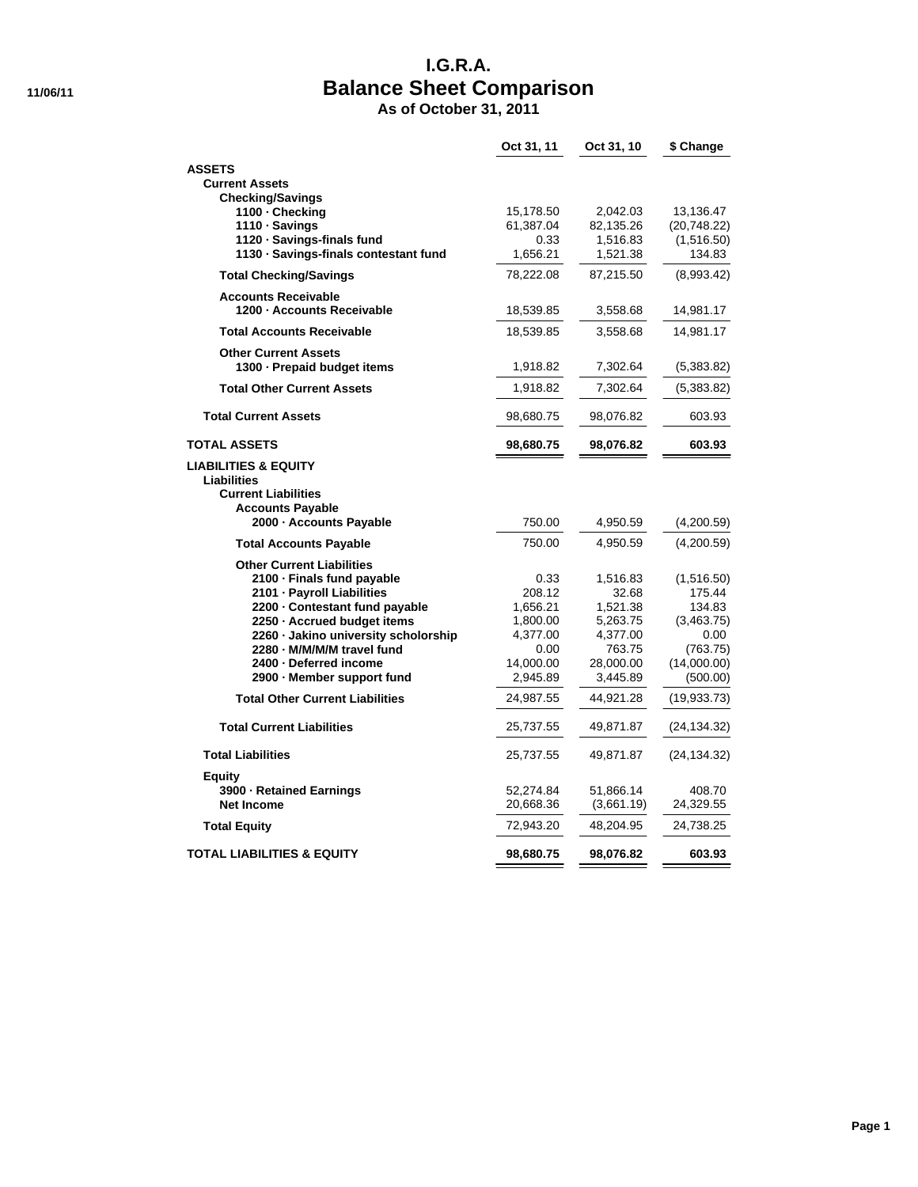## **I.G.R.A. 11/06/11 Balance Sheet Comparison**

**As of October 31, 2011**

|                                                               | Oct 31, 11         | Oct 31, 10        | \$ Change        |
|---------------------------------------------------------------|--------------------|-------------------|------------------|
| <b>ASSETS</b>                                                 |                    |                   |                  |
| <b>Current Assets</b>                                         |                    |                   |                  |
| <b>Checking/Savings</b>                                       |                    |                   |                  |
| 1100 - Checking                                               | 15,178.50          | 2,042.03          | 13,136.47        |
| 1110 · Savings                                                | 61,387.04          | 82,135.26         | (20, 748.22)     |
| 1120 · Savings-finals fund                                    | 0.33               | 1,516.83          | (1,516.50)       |
| 1130 · Savings-finals contestant fund                         | 1,656.21           | 1,521.38          | 134.83           |
| <b>Total Checking/Savings</b>                                 | 78,222.08          | 87,215.50         | (8,993.42)       |
| <b>Accounts Receivable</b>                                    |                    |                   |                  |
| 1200 - Accounts Receivable                                    | 18,539.85          | 3,558.68          | 14,981.17        |
| <b>Total Accounts Receivable</b>                              | 18,539.85          | 3,558.68          | 14,981.17        |
| <b>Other Current Assets</b>                                   |                    |                   |                  |
| 1300 · Prepaid budget items                                   | 1,918.82           | 7,302.64          | (5,383.82)       |
| <b>Total Other Current Assets</b>                             | 1,918.82           | 7,302.64          | (5,383.82)       |
| <b>Total Current Assets</b>                                   | 98,680.75          | 98,076.82         | 603.93           |
| TOTAL ASSETS                                                  | 98,680.75          | 98,076.82         | 603.93           |
| LIABILITIES & EQUITY                                          |                    |                   |                  |
| <b>Liabilities</b>                                            |                    |                   |                  |
| <b>Current Liabilities</b>                                    |                    |                   |                  |
| <b>Accounts Payable</b><br>2000 - Accounts Payable            | 750.00             | 4,950.59          | (4,200.59)       |
|                                                               | 750.00             |                   |                  |
| <b>Total Accounts Payable</b>                                 |                    | 4,950.59          | (4,200.59)       |
| <b>Other Current Liabilities</b>                              |                    |                   |                  |
| 2100 - Finals fund payable                                    | 0.33               | 1,516.83          | (1,516.50)       |
| 2101 - Payroll Liabilities                                    | 208.12<br>1,656.21 | 32.68<br>1,521.38 | 175.44<br>134.83 |
| 2200 - Contestant fund payable<br>2250 · Accrued budget items | 1,800.00           | 5,263.75          | (3,463.75)       |
| 2260 - Jakino university scholorship                          | 4,377.00           | 4,377.00          | 0.00             |
| 2280 - M/M/M/M travel fund                                    | 0.00               | 763.75            | (763.75)         |
| 2400 - Deferred income                                        | 14,000.00          | 28,000.00         | (14,000.00)      |
| 2900 - Member support fund                                    | 2,945.89           | 3,445.89          | (500.00)         |
| <b>Total Other Current Liabilities</b>                        | 24,987.55          | 44,921.28         | (19,933.73)      |
|                                                               |                    |                   |                  |
| <b>Total Current Liabilities</b>                              | 25,737.55          | 49,871.87         | (24, 134.32)     |
| <b>Total Liabilities</b>                                      | 25,737.55          | 49,871.87         | (24, 134.32)     |
| <b>Equity</b>                                                 |                    |                   |                  |
| 3900 - Retained Earnings                                      | 52,274.84          | 51,866.14         | 408.70           |
| <b>Net Income</b>                                             | 20,668.36          | (3,661.19)        | 24,329.55        |
| <b>Total Equity</b>                                           | 72,943.20          | 48,204.95         | 24,738.25        |
| TOTAL LIABILITIES & EQUITY                                    | 98,680.75          | 98,076.82         | 603.93           |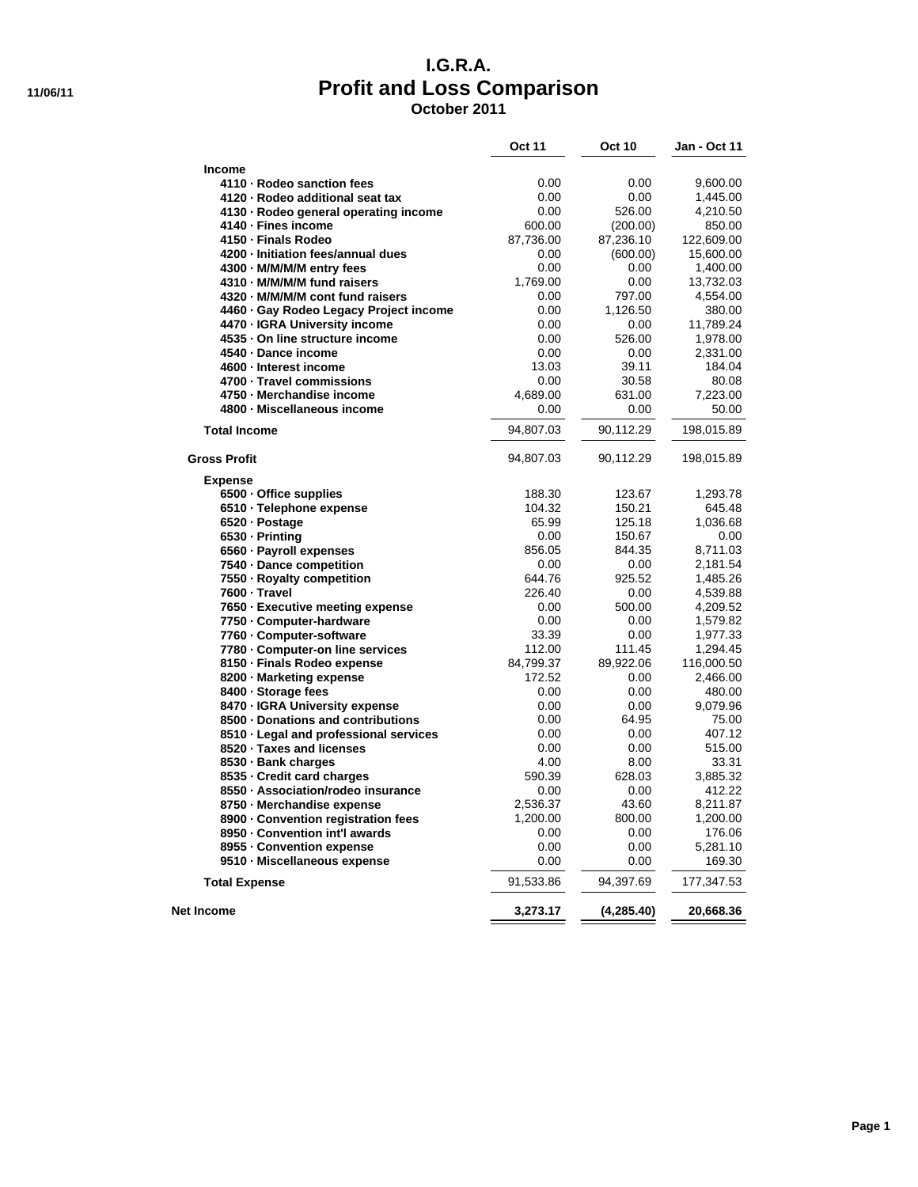### **I.G.R.A. 11/06/11 Profit and Loss Comparison October 2011**

|                                        | <b>Oct 11</b> | <b>Oct 10</b> | Jan - Oct 11 |
|----------------------------------------|---------------|---------------|--------------|
| <b>Income</b>                          |               |               |              |
| 4110 - Rodeo sanction fees             | 0.00          | 0.00          | 9,600.00     |
| 4120 - Rodeo additional seat tax       | 0.00          | 0.00          | 1,445.00     |
| 4130 - Rodeo general operating income  | 0.00          | 526.00        | 4,210.50     |
| 4140 - Fines income                    | 600.00        | (200.00)      | 850.00       |
| 4150 - Finals Rodeo                    | 87,736.00     | 87,236.10     | 122,609.00   |
| 4200 - Initiation fees/annual dues     | 0.00          | (600.00)      | 15,600.00    |
| 4300 - M/M/M/M entry fees              | 0.00          | 0.00          | 1,400.00     |
| 4310 - M/M/M/M fund raisers            | 1,769.00      | 0.00          | 13,732.03    |
| 4320 - M/M/M/M cont fund raisers       | 0.00          | 797.00        | 4,554.00     |
| 4460 · Gay Rodeo Legacy Project income | 0.00          | 1,126.50      | 380.00       |
| 4470 - IGRA University income          | 0.00          | 0.00          | 11,789.24    |
| 4535 - On line structure income        | 0.00          | 526.00        | 1,978.00     |
| 4540 - Dance income                    | 0.00          | 0.00          | 2,331.00     |
| 4600 - Interest income                 | 13.03         | 39.11         | 184.04       |
| 4700 - Travel commissions              | 0.00          | 30.58         | 80.08        |
| 4750 - Merchandise income              | 4,689.00      | 631.00        | 7,223.00     |
| 4800 - Miscellaneous income            | 0.00          | 0.00          | 50.00        |
| <b>Total Income</b>                    | 94,807.03     | 90,112.29     | 198,015.89   |
| <b>Gross Profit</b>                    | 94,807.03     | 90,112.29     | 198,015.89   |
| <b>Expense</b>                         |               |               |              |
| 6500 - Office supplies                 | 188.30        | 123.67        | 1,293.78     |
| 6510 - Telephone expense               | 104.32        | 150.21        | 645.48       |
| 6520 - Postage                         | 65.99         | 125.18        | 1,036.68     |
| 6530 - Printing                        | 0.00          | 150.67        | 0.00         |
| 6560 · Payroll expenses                | 856.05        | 844.35        | 8,711.03     |
| 7540 - Dance competition               | 0.00          | 0.00          | 2,181.54     |
| 7550 - Royalty competition             | 644.76        | 925.52        | 1,485.26     |
| 7600 · Travel                          | 226.40        | 0.00          | 4,539.88     |
| 7650 - Executive meeting expense       | 0.00          | 500.00        | 4,209.52     |
| 7750 - Computer-hardware               | 0.00          | 0.00          | 1,579.82     |
| 7760 - Computer-software               | 33.39         | 0.00          | 1,977.33     |
| 7780 - Computer-on line services       | 112.00        | 111.45        | 1,294.45     |
| 8150 - Finals Rodeo expense            | 84,799.37     | 89,922.06     | 116,000.50   |
| 8200 - Marketing expense               | 172.52        | 0.00          | 2,466.00     |
| 8400 - Storage fees                    | 0.00          | 0.00          | 480.00       |
| 8470 - IGRA University expense         | 0.00          | 0.00          | 9,079.96     |
| 8500 - Donations and contributions     | 0.00          | 64.95         | 75.00        |
| 8510 - Legal and professional services | 0.00          | 0.00          | 407.12       |
| 8520 · Taxes and licenses              | 0.00          | 0.00          | 515.00       |
| 8530 - Bank charges                    | 4.00          | 8.00          | 33.31        |
| 8535 Credit card charges               | 590.39        | 628.03        | 3.885.32     |
| 8550 - Association/rodeo insurance     | 0.00          | 0.00          | 412.22       |
| 8750 · Merchandise expense             | 2,536.37      | 43.60         | 8,211.87     |
| 8900 - Convention registration fees    | 1,200.00      | 800.00        | 1,200.00     |
| 8950 - Convention int'l awards         | 0.00          | 0.00          | 176.06       |
| 8955 - Convention expense              | 0.00          | 0.00          | 5,281.10     |
| 9510 - Miscellaneous expense           | 0.00          | 0.00          | 169.30       |
| <b>Total Expense</b>                   | 91,533.86     | 94,397.69     | 177,347.53   |
| Net Income                             | 3,273.17      | (4, 285.40)   | 20,668.36    |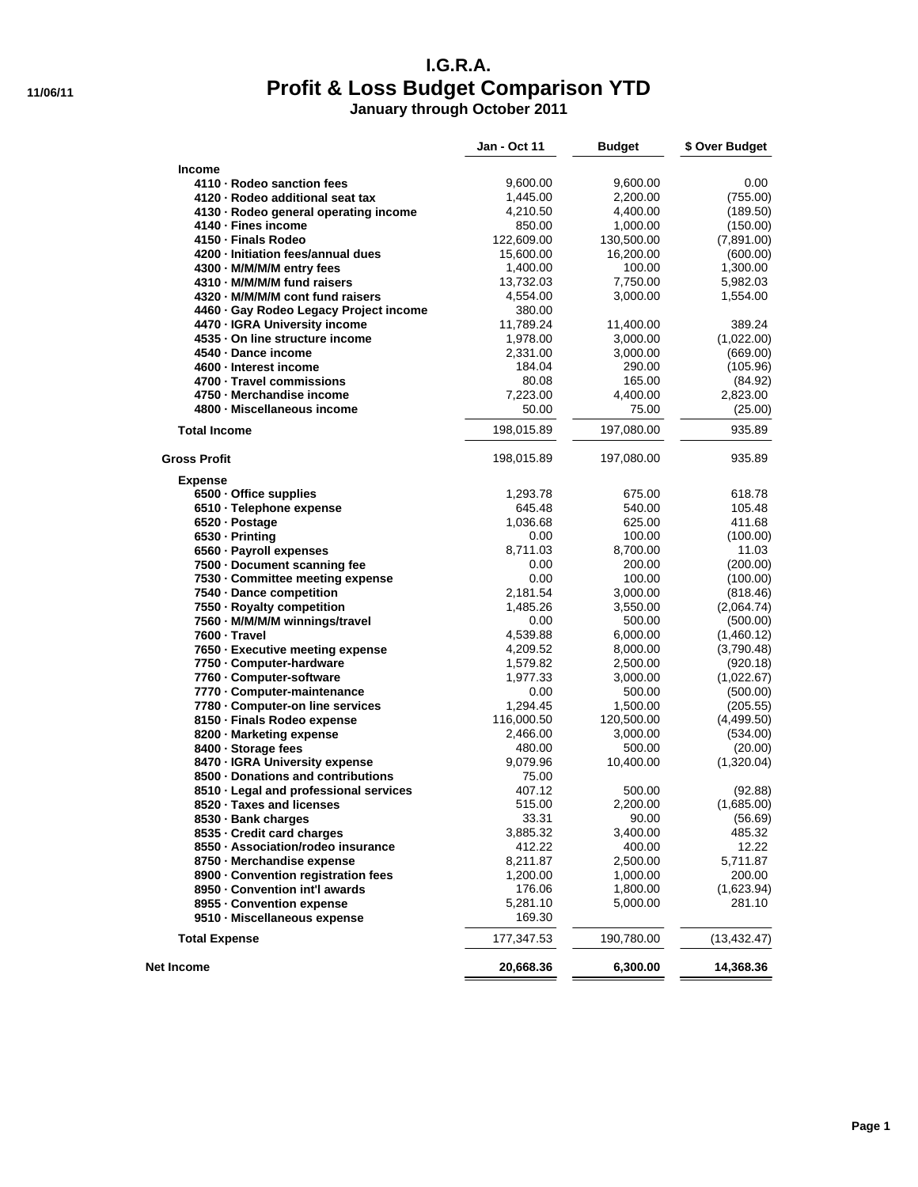# **I.G.R.A. 11/06/11 Profit & Loss Budget Comparison YTD**

**January through October 2011**

|                                                              | Jan - Oct 11         | <b>Budget</b>        | \$ Over Budget         |
|--------------------------------------------------------------|----------------------|----------------------|------------------------|
| <b>Income</b>                                                |                      |                      |                        |
| 4110 - Rodeo sanction fees                                   | 9,600.00             | 9,600.00             | 0.00                   |
| 4120 - Rodeo additional seat tax                             | 1,445.00             | 2,200.00             | (755.00)               |
| 4130 - Rodeo general operating income                        | 4,210.50             | 4,400.00             | (189.50)               |
| 4140 - Fines income                                          | 850.00               | 1,000.00             | (150.00)               |
| 4150 - Finals Rodeo                                          | 122,609.00           | 130,500.00           | (7,891.00)             |
| 4200 - Initiation fees/annual dues                           | 15,600.00            | 16,200.00            | (600.00)               |
| 4300 - M/M/M/M entry fees                                    | 1,400.00             | 100.00               | 1,300.00               |
| 4310 - M/M/M/M fund raisers                                  | 13,732.03            | 7,750.00             | 5,982.03               |
| 4320 - M/M/M/M cont fund raisers                             | 4,554.00             | 3,000.00             | 1,554.00               |
| 4460 · Gay Rodeo Legacy Project income                       | 380.00               |                      |                        |
| 4470 - IGRA University income                                | 11,789.24            | 11,400.00            | 389.24                 |
| 4535 - On line structure income                              | 1,978.00             | 3,000.00             | (1,022.00)             |
| 4540 - Dance income                                          | 2,331.00             | 3,000.00             | (669.00)               |
| 4600 - Interest income                                       | 184.04               | 290.00               | (105.96)               |
| 4700 - Travel commissions                                    | 80.08                | 165.00               | (84.92)                |
| 4750 - Merchandise income                                    | 7,223.00             | 4,400.00             | 2,823.00               |
| 4800 - Miscellaneous income                                  | 50.00                | 75.00                | (25.00)                |
| <b>Total Income</b>                                          | 198,015.89           | 197,080.00           | 935.89                 |
| <b>Gross Profit</b>                                          | 198,015.89           | 197,080.00           | 935.89                 |
| <b>Expense</b>                                               |                      |                      |                        |
| 6500 - Office supplies                                       | 1,293.78             | 675.00               | 618.78                 |
| 6510 · Telephone expense                                     | 645.48               | 540.00               | 105.48                 |
| 6520 - Postage                                               | 1,036.68             | 625.00               | 411.68                 |
| 6530 - Printing                                              | 0.00                 | 100.00               | (100.00)               |
| 6560 - Payroll expenses                                      | 8,711.03             | 8,700.00             | 11.03                  |
| 7500 - Document scanning fee                                 | 0.00                 | 200.00               | (200.00)               |
| 7530 - Committee meeting expense                             | 0.00                 | 100.00               | (100.00)               |
| 7540 - Dance competition                                     | 2,181.54             | 3,000.00             | (818.46)               |
| 7550 - Royalty competition                                   | 1,485.26<br>0.00     | 3,550.00             | (2,064.74)             |
| 7560 - M/M/M/M winnings/travel<br>7600 - Travel              | 4,539.88             | 500.00<br>6,000.00   | (500.00)<br>(1,460.12) |
|                                                              |                      |                      |                        |
| 7650 - Executive meeting expense<br>7750 - Computer-hardware | 4,209.52<br>1,579.82 | 8,000.00<br>2,500.00 | (3,790.48)             |
| 7760 - Computer-software                                     | 1,977.33             | 3,000.00             | (920.18)<br>(1,022.67) |
| 7770 - Computer-maintenance                                  | 0.00                 | 500.00               | (500.00)               |
| 7780 - Computer-on line services                             | 1,294.45             | 1,500.00             | (205.55)               |
| 8150 - Finals Rodeo expense                                  | 116,000.50           | 120,500.00           | (4,499.50)             |
| 8200 - Marketing expense                                     | 2,466.00             | 3,000.00             | (534.00)               |
| 8400 - Storage fees                                          | 480.00               | 500.00               | (20.00)                |
| 8470 - IGRA University expense                               | 9,079.96             | 10,400.00            | (1,320.04)             |
| 8500 - Donations and contributions                           | 75.00                |                      |                        |
| 8510 - Legal and professional services                       | 407.12               | 500.00               | (92.88)                |
| 8520 · Taxes and licenses                                    | 515.00               | 2,200.00             | (1,685.00)             |
| 8530 · Bank charges                                          | 33.31                | 90.00                | (56.69)                |
| 8535 - Credit card charges                                   | 3,885.32             | 3,400.00             | 485.32                 |
| 8550 - Association/rodeo insurance                           | 412.22               | 400.00               | 12.22                  |
| 8750 - Merchandise expense                                   | 8,211.87             | 2,500.00             | 5,711.87               |
| 8900 - Convention registration fees                          | 1,200.00             | 1,000.00             | 200.00                 |
| 8950 - Convention int'l awards                               | 176.06               | 1,800.00             | (1,623.94)             |
| 8955 Convention expense                                      | 5,281.10             | 5,000.00             | 281.10                 |
| 9510 - Miscellaneous expense                                 | 169.30               |                      |                        |
| <b>Total Expense</b>                                         | 177,347.53           | 190,780.00           | (13,432.47)            |
| Net Income                                                   | 20,668.36            | 6,300.00             | 14,368.36              |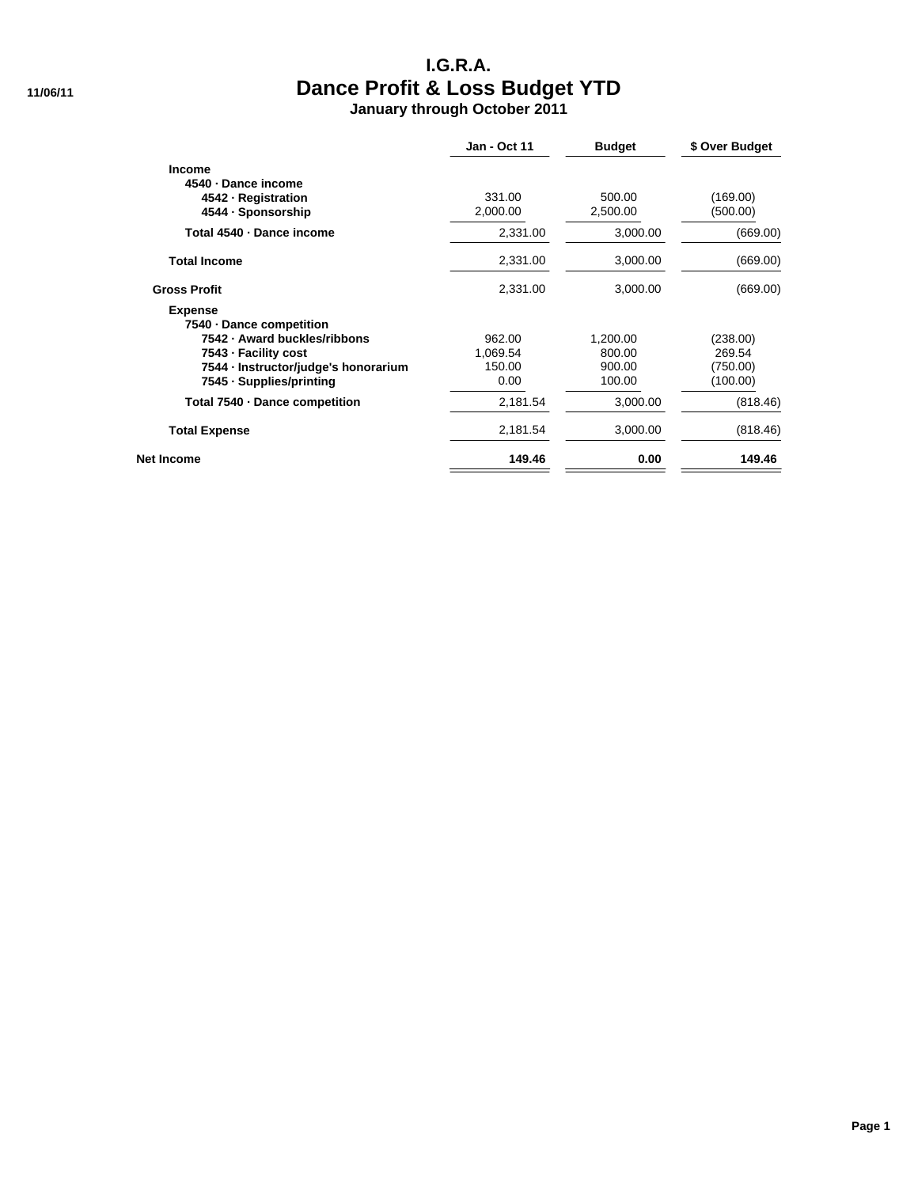### **I.G.R.A. 11/06/11 Dance Profit & Loss Budget YTD January through October 2011**

|                                      | <b>Jan - Oct 11</b> | <b>Budget</b> | \$ Over Budget |
|--------------------------------------|---------------------|---------------|----------------|
| <b>Income</b>                        |                     |               |                |
| 4540 · Dance income                  |                     |               |                |
| 4542 - Registration                  | 331.00              | 500.00        | (169.00)       |
| 4544 - Sponsorship                   | 2,000.00            | 2,500.00      | (500.00)       |
| Total 4540 - Dance income            | 2,331.00            | 3,000.00      | (669.00)       |
| <b>Total Income</b>                  | 2,331.00            | 3,000.00      | (669.00)       |
| <b>Gross Profit</b>                  | 2,331.00            | 3,000.00      | (669.00)       |
| <b>Expense</b>                       |                     |               |                |
| 7540 - Dance competition             |                     |               |                |
| 7542 - Award buckles/ribbons         | 962.00              | 1,200.00      | (238.00)       |
| 7543 - Facility cost                 | 1,069.54            | 800.00        | 269.54         |
| 7544 · Instructor/judge's honorarium | 150.00              | 900.00        | (750.00)       |
| 7545 · Supplies/printing             | 0.00                | 100.00        | (100.00)       |
| Total 7540 - Dance competition       | 2,181.54            | 3,000.00      | (818.46)       |
| <b>Total Expense</b>                 | 2,181.54            | 3,000.00      | (818.46)       |
| Net Income                           | 149.46              | 0.00          | 149.46         |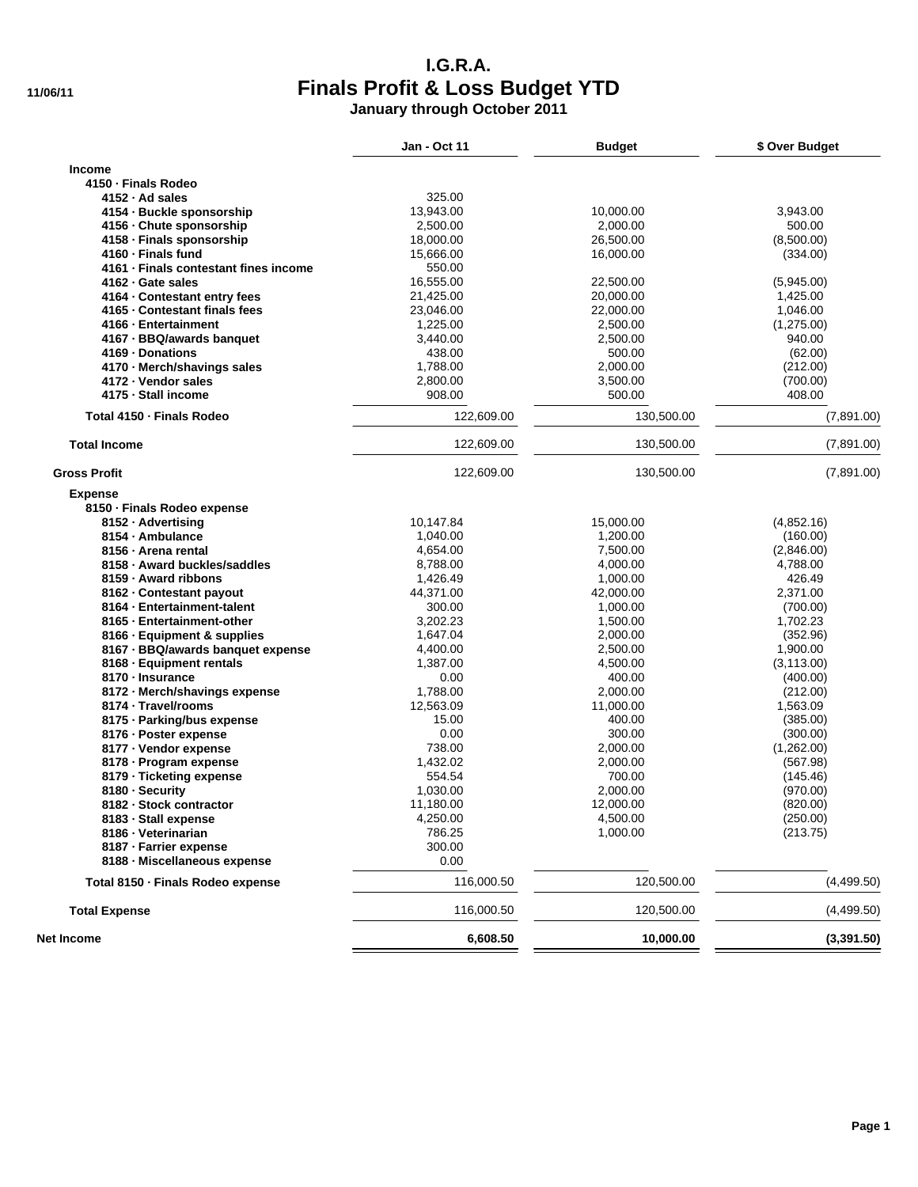### **I.G.R.A. 11/06/11 Finals Profit & Loss Budget YTD January through October 2011**

|                                                    | <b>Jan - Oct 11</b> | <b>Budget</b> | \$ Over Budget       |
|----------------------------------------------------|---------------------|---------------|----------------------|
| <b>Income</b>                                      |                     |               |                      |
| 4150 - Finals Rodeo                                |                     |               |                      |
| 4152 - Ad sales                                    | 325.00              |               |                      |
| 4154 - Buckle sponsorship                          | 13,943.00           | 10,000.00     | 3,943.00             |
| 4156 - Chute sponsorship                           | 2,500.00            | 2,000.00      | 500.00               |
| 4158 - Finals sponsorship                          | 18,000.00           | 26,500.00     | (8,500.00)           |
| 4160 - Finals fund                                 | 15,666.00           | 16,000.00     | (334.00)             |
| 4161 · Finals contestant fines income              | 550.00              |               |                      |
| 4162 - Gate sales                                  | 16,555.00           | 22,500.00     | (5,945.00)           |
| 4164 · Contestant entry fees                       | 21,425.00           | 20,000.00     | 1,425.00             |
| 4165 - Contestant finals fees                      | 23,046.00           | 22,000.00     | 1,046.00             |
| 4166 - Entertainment                               | 1,225.00            | 2,500.00      | (1,275.00)           |
| 4167 - BBQ/awards banquet                          | 3,440.00            | 2,500.00      | 940.00               |
| 4169 - Donations                                   | 438.00              | 500.00        | (62.00)              |
|                                                    | 1,788.00            | 2,000.00      | (212.00)             |
| 4170 · Merch/shavings sales<br>4172 - Vendor sales |                     | 3,500.00      | (700.00)             |
|                                                    | 2,800.00            |               |                      |
| 4175 - Stall income                                | 908.00              | 500.00        | 408.00               |
| Total 4150 - Finals Rodeo                          | 122,609.00          | 130,500.00    | (7,891.00)           |
| <b>Total Income</b>                                | 122,609.00          | 130,500.00    | (7,891.00)           |
| <b>Gross Profit</b>                                | 122,609.00          | 130,500.00    | (7,891.00)           |
| <b>Expense</b>                                     |                     |               |                      |
| 8150 · Finals Rodeo expense                        |                     |               |                      |
| 8152 - Advertising                                 | 10,147.84           | 15,000.00     | (4,852.16)           |
| 8154 - Ambulance                                   | 1,040.00            | 1,200.00      | (160.00)             |
| 8156 - Arena rental                                | 4,654.00            | 7,500.00      | (2,846.00)           |
| 8158 - Award buckles/saddles                       | 8,788.00            | 4,000.00      | 4,788.00             |
| 8159 - Award ribbons                               | 1,426.49            | 1,000.00      | 426.49               |
| 8162 - Contestant payout                           | 44,371.00           | 42,000.00     | 2,371.00             |
| 8164 · Entertainment-talent                        | 300.00              | 1,000.00      | (700.00)             |
| 8165 - Entertainment-other                         | 3,202.23            | 1,500.00      | 1,702.23             |
| 8166 - Equipment & supplies                        | 1,647.04            | 2,000.00      | (352.96)             |
| 8167 - BBQ/awards banquet expense                  | 4,400.00            | 2,500.00      | 1,900.00             |
| 8168 - Equipment rentals                           | 1,387.00            | 4,500.00      | (3, 113.00)          |
| 8170 - Insurance                                   | 0.00                | 400.00        | (400.00)             |
| 8172 · Merch/shavings expense                      | 1,788.00            | 2,000.00      |                      |
| 8174 - Travel/rooms                                | 12,563.09           | 11,000.00     | (212.00)<br>1,563.09 |
|                                                    | 15.00               | 400.00        |                      |
| 8175 - Parking/bus expense                         |                     |               | (385.00)             |
| 8176 - Poster expense                              | 0.00                | 300.00        | (300.00)             |
| 8177 - Vendor expense                              | 738.00              | 2,000.00      | (1,262.00)           |
| 8178 - Program expense                             | 1,432.02            | 2,000.00      | (567.98)             |
| 8179 · Ticketing expense                           | 554.54              | 700.00        | (145.46)             |
| 8180 - Security                                    | 1,030.00            | 2,000.00      | (970.00)             |
| 8182 - Stock contractor                            | 11,180.00           | 12,000.00     | (820.00)             |
| 8183 - Stall expense                               | 4,250.00            | 4,500.00      | (250.00)             |
| 8186 - Veterinarian                                | 786.25              | 1,000.00      | (213.75)             |
| 8187 - Farrier expense                             | 300.00              |               |                      |
| 8188 - Miscellaneous expense                       | 0.00                |               |                      |
| Total 8150 - Finals Rodeo expense                  | 116,000.50          | 120,500.00    | (4,499.50)           |
| <b>Total Expense</b>                               | 116,000.50          | 120,500.00    | (4,499.50)           |
| Net Income                                         | 6,608.50            | 10,000.00     | (3,391.50)           |